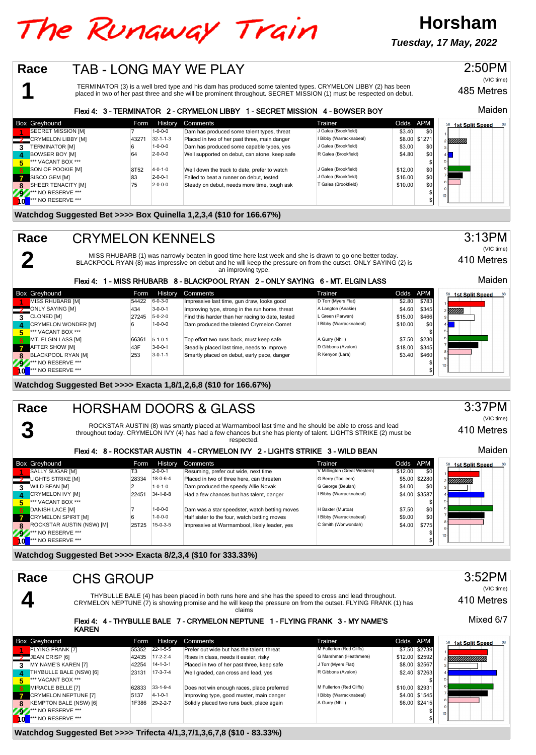## The Runaway Train

**Tuesday, 17 May, 2022**

**Horsham**

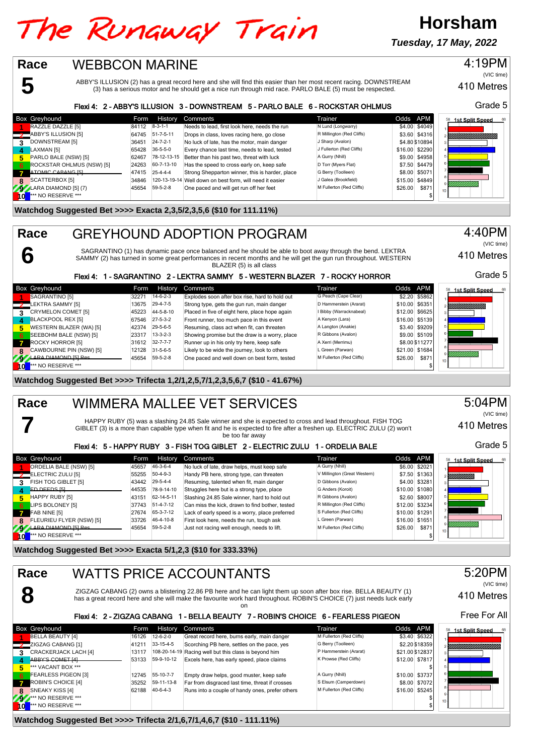# The Runaway Train

**Tuesday, 17 May, 2022**

**Horsham**

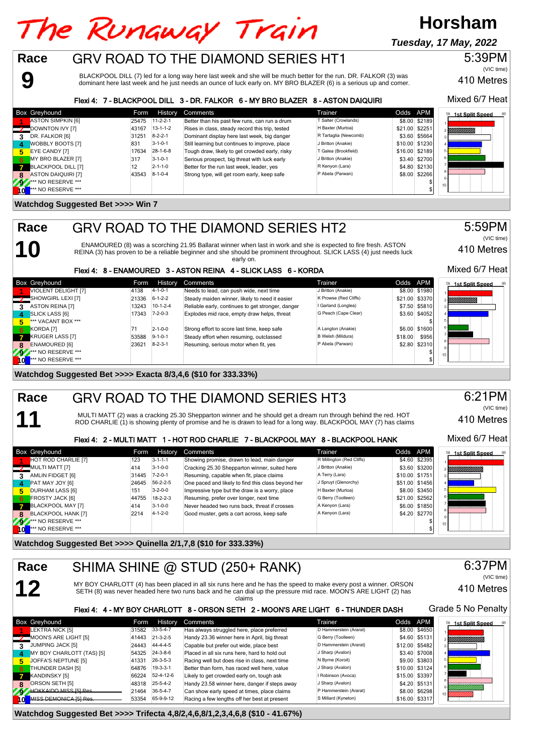### **Horsham** The Runaway Train **Tuesday, 17 May, 2022**GRV ROAD TO THE DIAMOND SERIES HT1 **Race**

BLACKPOOL DILL (7) led for a long way here last week and she will be much better for the run. DR. FALKOR (3) was dominant here last week and he just needs an ounce of luck early on. MY BRO BLAZER (6) is a serious up and comer.

### Flexi 4: 7 - BLACKPOOL DILL 3 - DR. FALKOR 6 - MY BRO BLAZER 8 - ASTON DAIQUIRI

| <b>Box Greyhound</b>         | Form           | <b>History</b>   | Comments                                        | Trainer               | Odds APM |                | 58 1st Split Speed<br>68 |
|------------------------------|----------------|------------------|-------------------------------------------------|-----------------------|----------|----------------|--------------------------|
| <b>ASTON SIMPKIN [6]</b>     | 25475 11-2-2-1 |                  | Better than his past few runs, can run a drum   | Salter (Crowlands)    |          | \$8.00 \$2189  |                          |
| DOWNTON IVY [7]              | 43167          | $13 - 1 - 1 - 2$ | Rises in class, steady record this trip, tested | H Baxter (Murtoa)     |          | \$21.00 \$2251 | YMMMML                   |
| DR. FALKOR [6]               | 31251          | $8 - 2 - 2 - 1$  | Dominant display here last week, big danger     | R Tartaglia (Newcomb) |          | \$3.60 \$5664  |                          |
| <b>WOBBLY BOOTS [7]</b><br>4 | 831            | $3 - 1 - 0 - 1$  | Still learning but continues to improve, place  | J Britton (Anakie)    |          | \$10.00 \$1230 |                          |
| EYE CANDY [7]<br>5           | 17634          | $28 - 1 - 6 - 8$ | Tough draw, likely to get crowded early, risky  | Galea (Brookfield)    |          | \$16,00 \$2189 |                          |
| MY BRO BLAZER [7]<br>6       | 317            | $3 - 1 - 0 - 1$  | Serious prospect, big threat with luck early    | J Britton (Anakie)    |          | \$3.40 \$2700  |                          |
| BLACKPOOL DILL [7]           | 12             | $2 - 1 - 1 - 0$  | Better for the run last week, leader, yes       | R Kenyon (Lara)       |          | \$4.80 \$2130  |                          |
| <b>ASTON DAIQUIRI [7]</b>    | 43543          | $8 - 1 - 0 - 4$  | Strong type, will get room early, keep safe     | P Abela (Parwan)      |          | \$8.00 \$2266  |                          |
| *** NO RESERVE ***<br>292    |                |                  |                                                 |                       |          |                | 10 <sup>1</sup>          |
| *** NO RESERVE ***<br>l O    |                |                  |                                                 |                       |          |                |                          |

#### **Watchdog Suggested Bet >>>> Win 7**

## **10 Race**

**11**

**9**

## GRV ROAD TO THE DIAMOND SERIES HT2

ENAMOURED (8) was a scorching 21.95 Ballarat winner when last in work and she is expected to fire fresh. ASTON<br>REINA (3) has proven to be a reliable beginner and she should be prominent throughout. SLICK LASS (4) just need early on.

## Flexi 4: 8 - ENAMOURED 3 - ASTON REINA 4 - SLICK LASS 6 - KORDA

|                          | <b>Box Greyhound</b>      | Form  | History         | Comments                                          | Trainer               | Odds APM |                | 58 1st Split Speed    |
|--------------------------|---------------------------|-------|-----------------|---------------------------------------------------|-----------------------|----------|----------------|-----------------------|
|                          | VIOLENT DELIGHT [7]       | 4138  | $4 - 1 - 0 - 1$ | Needs to lead, can push wide, next time           | J Britton (Anakie)    |          | \$8.00 \$1980  |                       |
|                          | SHOWGIRL LEXI [7]         | 21336 | $6 - 1 - 2 - 2$ | Steady maiden winner, likely to need it easier    | K Prowse (Red Cliffs) |          | \$21.00 \$3370 | <i>VIIIIIIIIIIIII</i> |
| 3                        | <b>ASTON REINA [7]</b>    | 13243 | $10-1-2-4$      | Reliable early, continues to get stronger, danger | I Garland (Longlea)   |          | \$7.50 \$5810  |                       |
| $\mathbf{A}$             | <b>SLICK LASS [6]</b>     | 17343 | $7 - 2 - 0 - 3$ | Explodes mid race, empty draw helps, threat       | G Peach (Cape Clear)  |          | \$3.60 \$4052  |                       |
| 5.                       | *** VACANT BOX ***        |       |                 |                                                   |                       |          |                |                       |
| <b>467</b>               | KORDA <sub>[7]</sub>      |       | $2 - 1 - 0 - 0$ | Strong effort to score last time, keep safe       | A Langton (Anakie)    |          | \$6.00 \$1600  |                       |
| $\mathbf{7}$             | <b>KRUGER LASS [7]</b>    | 53588 | $9 - 1 - 0 - 1$ | Steady effort when resuming, outclassed           | B Welsh (Mildura)     | \$18.00  | \$956          |                       |
| 8                        | <b>ENAMOURED [6]</b>      | 23621 | $8 - 2 - 3 - 1$ | Resuming, serious motor when fit, yes             | P Abela (Parwan)      |          | \$2.80 \$2310  |                       |
| 292                      | *** NO RESERVE ***        |       |                 |                                                   |                       |          |                |                       |
| $\overline{\phantom{a}}$ | <b>*** NO RESERVE ***</b> |       |                 |                                                   |                       |          |                |                       |

**Watchdog Suggested Bet >>>> Exacta 8/3,4,6 (\$10 for 333.33%)**

#### GRV ROAD TO THE DIAMOND SERIES HT3 **Race**

MULTI MATT (2) was a cracking 25.30 Shepparton winner and he should get a dream run through behind the red. HOT<br>ROD CHARLIE (1) is showing plenty of promise and he is drawn to lead for a long way. BLACKPOOL MAY (7) has cla

## Flexi 4: 2 - MULTI MATT 1 - HOT ROD CHARLIE 7 - BLACKPOOL MAY 8 - BLACKPOOL HANK

|              | <b>Box Greyhound</b>          | Form  | History          | Comments                                           | Trainer                   | Odds APM       |                | <b>1st Split Speed</b><br>68 |
|--------------|-------------------------------|-------|------------------|----------------------------------------------------|---------------------------|----------------|----------------|------------------------------|
|              | HOT ROD CHARLIE [7]           | 123   | $3 - 1 - 1 - 1$  | Showing promise, drawn to lead, main danger        | R Millington (Red Cliffs) |                | \$4.60 \$2395  |                              |
|              | MULTI MATT [7]                | 414   | $3 - 1 - 0 - 0$  | Cracking 25.30 Shepparton winner, suited here      | J Britton (Anakie)        |                | \$3.60 \$3200  | YMMMMMM                      |
| 3            | AMLIN FIDGET [6]              | 31445 | $7 - 2 - 0 - 1$  | Resuming, capable when fit, place claims           | A Terry (Lara)            | \$10.00 \$1751 |                |                              |
| $\mathbf{A}$ | <b>PAT MAY JOY [6]</b>        | 24645 | $56 - 2 - 2 - 5$ | One paced and likely to find this class beyond her | J Spruyt (Glenorchy)      |                | \$51.00 \$1456 |                              |
| 5.           | <b>DURHAM LASS [6]</b>        | 151   | $3 - 2 - 0 - 0$  | Impressive type but the draw is a worry, place     | H Baxter (Murtoa)         |                | \$8.00 \$3450  |                              |
| 6            | <b>FROSTY JACK [6]</b>        | 44755 | $18 - 2 - 2 - 3$ | Resuming, prefer over longer, next time            | G Berry (Toolleen)        |                | \$21.00 \$2562 |                              |
|              | <b>BLACKPOOL MAY [7]</b>      | 414   | $3 - 1 - 0 - 0$  | Never headed two runs back, threat if crosses      | A Kenyon (Lara)           |                | \$6.00 \$1850  |                              |
| 8            | <b>BLACKPOOL HANK [7]</b>     | 2214  | $4 - 1 - 2 - 0$  | Good muster, gets a cart across, keep safe         | A Kenyon (Lara)           |                | \$4.20 \$2770  |                              |
| w            | <b>Att NO RESERVE ***</b>     |       |                  |                                                    |                           |                |                | 10 <sub>1</sub>              |
| <b>Tol</b>   | <sup>***</sup> NO RESERVE *** |       |                  |                                                    |                           |                |                |                              |

**Watchdog Suggested Bet >>>> Quinella 2/1,7,8 (\$10 for 333.33%)**

#### **12** SHIMA SHINE @ STUD (250+ RANK) MY BOY CHARLOTT (4) has been placed in all six runs here and he has the speed to make every post a winner. ORSON<br>SETH (8) was never headed here two runs back and he can dial up the pressure mid race. MOON'S ARE LIGHT (2) h claims **Race**

## 410 Metres

|    |                              |       |                  | Flexi 4: 4 - MY BOY CHARLOTT 8 - ORSON SETH 2 - MOON'S ARE LIGHT 6 - THUNDER DASH |                        |                |               | Grade 5 No Penalty     |
|----|------------------------------|-------|------------------|-----------------------------------------------------------------------------------|------------------------|----------------|---------------|------------------------|
|    | Box Greyhound                | Form  | History          | Comments                                                                          | Trainer                | Odds APM       |               | <b>1st Split Speed</b> |
|    | LEKTRA NICK [5]              | 31582 | $33 - 5 - 4 - 7$ | Has always struggled here, place preferred                                        | D Hammerstein (Ararat) |                | \$8.00 \$4650 |                        |
|    | MOON'S ARE LIGHT [5]         | 41443 | $21 - 3 - 2 - 5$ | Handy 23.36 winner here in April, big threat                                      | G Berry (Toolleen)     |                | \$4.60 \$5131 | !!!!!!!!!!!!!!!!!      |
| 3. | JUMPING JACK [5]             | 24443 | 44-4-4-5         | Capable but prefer out wide, place best                                           | D Hammerstein (Ararat) | \$12.00 \$5482 |               |                        |
|    | MY BOY CHARLOTT (TAS) [5]    | 54325 | $24 - 3 - 8 - 6$ | Placed in all six runs here, hard to hold out                                     | J Sharp (Avalon)       |                | \$3.40 \$7008 |                        |
|    | JOFFA'S NEPTUNE [5]          | 41331 | $26 - 3 - 5 - 3$ | Racing well but does rise in class, next time                                     | N Byrne (Koroit)       |                | \$9.00 \$3803 |                        |
|    | THUNDER DASH [5]             | 64876 | $19-3-3-1$       | Better than form, has raced well here, value                                      | J Sharp (Avalon)       | \$10.00 \$3124 |               |                        |
|    | KANDINSKY [5]                | 66224 | 52-4-12-6        | Likely to get crowded early on, tough ask                                         | I Robinson (Avoca)     | \$15.00 \$3397 |               |                        |
|    | 8 ORSON SETH [5]             | 48318 | $25 - 5 - 4 - 2$ | Handy 23.58 winner here, danger if steps away                                     | J Sharp (Avalon)       |                | \$4.20 \$5131 |                        |
|    | <b>HOKKAIDO MISS I51 Res</b> | 21464 | $36 - 5 - 4 - 7$ | Can show early speed at times, place claims                                       | P Hammerstein (Ararat) |                | \$8.00 \$6298 |                        |
|    | MISS DEMONICA [5] Res        | 53354 | 65-9-9-12        | Racing a few lengths off her best at present                                      | S Millard (Kyneton)    | \$16.00 \$3317 |               |                        |

**Watchdog Suggested Bet >>>> Trifecta 4,8/2,4,6,8/1,2,3,4,6,8 (\$10 - 41.67%)**

## 6:21PM

410 Metres (VIC time)

410 Metres

410 Metres

Mixed 6/7 Heat

5:59PM

(VIC time)

Mixed 6/7 Heat

5:39PM

(VIC time)



6:37PM

(VIC time)

Mixed 6/7 Heat